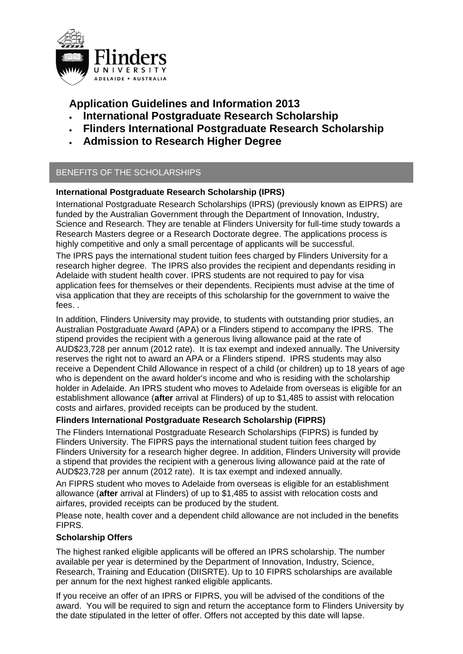

**Application Guidelines and Information 2013**

- **International Postgraduate Research Scholarship**
- **Flinders International Postgraduate Research Scholarship**
- **Admission to Research Higher Degree**

# BENEFITS OF THE SCHOLARSHIPS

## **International Postgraduate Research Scholarship (IPRS)**

International Postgraduate Research Scholarships (IPRS) (previously known as EIPRS) are funded by the Australian Government through the Department of Innovation, Industry, Science and Research. They are tenable at Flinders University for full-time study towards a Research Masters degree or a Research Doctorate degree. The applications process is highly competitive and only a small percentage of applicants will be successful.

The IPRS pays the international student tuition fees charged by Flinders University for a research higher degree. The IPRS also provides the recipient and dependants residing in Adelaide with student health cover. IPRS students are not required to pay for visa application fees for themselves or their dependents. Recipients must advise at the time of visa application that they are receipts of this scholarship for the government to waive the fees. .

In addition, Flinders University may provide, to students with outstanding prior studies, an Australian Postgraduate Award (APA) or a Flinders stipend to accompany the IPRS. The stipend provides the recipient with a generous living allowance paid at the rate of AUD\$23,728 per annum (2012 rate). It is tax exempt and indexed annually. The University reserves the right not to award an APA or a Flinders stipend. IPRS students may also receive a Dependent Child Allowance in respect of a child (or children) up to 18 years of age who is dependent on the award holder's income and who is residing with the scholarship holder in Adelaide. An IPRS student who moves to Adelaide from overseas is eligible for an establishment allowance (**after** arrival at Flinders) of up to \$1,485 to assist with relocation costs and airfares, provided receipts can be produced by the student.

## **Flinders International Postgraduate Research Scholarship (FIPRS)**

The Flinders International Postgraduate Research Scholarships (FIPRS) is funded by Flinders University. The FIPRS pays the international student tuition fees charged by Flinders University for a research higher degree. In addition, Flinders University will provide a stipend that provides the recipient with a generous living allowance paid at the rate of AUD\$23,728 per annum (2012 rate). It is tax exempt and indexed annually.

An FIPRS student who moves to Adelaide from overseas is eligible for an establishment allowance (**after** arrival at Flinders) of up to \$1,485 to assist with relocation costs and airfares, provided receipts can be produced by the student.

Please note, health cover and a dependent child allowance are not included in the benefits **FIPRS** 

## **Scholarship Offers**

The highest ranked eligible applicants will be offered an IPRS scholarship. The number available per year is determined by the Department of Innovation, Industry, Science, Research, Training and Education (DIISRTE). Up to 10 FIPRS scholarships are available per annum for the next highest ranked eligible applicants.

If you receive an offer of an IPRS or FIPRS, you will be advised of the conditions of the award. You will be required to sign and return the acceptance form to Flinders University by the date stipulated in the letter of offer. Offers not accepted by this date will lapse.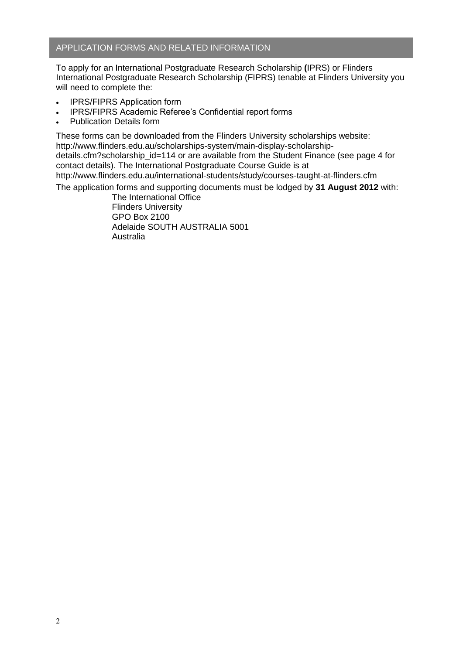### APPLICATION FORMS AND RELATED INFORMATION

To apply for an International Postgraduate Research Scholarship **(**IPRS) or Flinders International Postgraduate Research Scholarship (FIPRS) tenable at Flinders University you will need to complete the:

- IPRS/FIPRS Application form
- IPRS/FIPRS Academic Referee's Confidential report forms
- Publication Details form

These forms can be downloaded from the Flinders University scholarships website: http://www.flinders.edu.au/scholarships-system/main-display-scholarshipdetails.cfm?scholarship\_id=114 or are available from the Student Finance (see page 4 for contact details). The International Postgraduate Course Guide is at http://www.flinders.edu.au/international-students/study/courses-taught-at-flinders.cfm

The application forms and supporting documents must be lodged by **31 August 2012** with:

The International Office Flinders University GPO Box 2100 Adelaide SOUTH AUSTRALIA 5001 Australia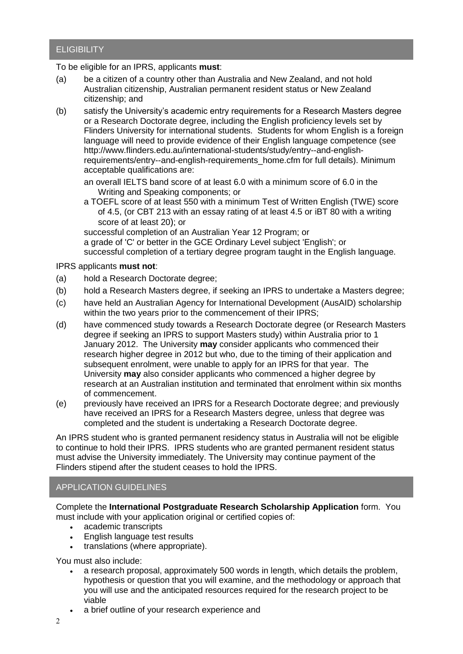# **ELIGIBILITY**

To be eligible for an IPRS, applicants **must**:

- (a) be a citizen of a country other than Australia and New Zealand, and not hold Australian citizenship, Australian permanent resident status or New Zealand citizenship; and
- (b) satisfy the University's academic entry requirements for a Research Masters degree or a Research Doctorate degree, including the English proficiency levels set by Flinders University for international students. Students for whom English is a foreign language will need to provide evidence of their English language competence (see http://www.flinders.edu.au/international-students/study/entry--and-englishrequirements/entry--and-english-requirements\_home.cfm for full details). Minimum acceptable qualifications are:

an overall IELTS band score of at least 6.0 with a minimum score of 6.0 in the Writing and Speaking components; or

a TOEFL score of at least 550 with a minimum Test of Written English (TWE) score of 4.5, (or CBT 213 with an essay rating of at least 4.5 or iBT 80 with a writing score of at least 20); or

successful completion of an Australian Year 12 Program; or a grade of 'C' or better in the GCE Ordinary Level subject 'English'; or

successful completion of a tertiary degree program taught in the English language.

#### IPRS applicants **must not**:

- (a) hold a Research Doctorate degree;
- (b) hold a Research Masters degree, if seeking an IPRS to undertake a Masters degree;
- (c) have held an Australian Agency for International Development (AusAID) scholarship within the two years prior to the commencement of their IPRS;
- (d) have commenced study towards a Research Doctorate degree (or Research Masters degree if seeking an IPRS to support Masters study) within Australia prior to 1 January 2012. The University **may** consider applicants who commenced their research higher degree in 2012 but who, due to the timing of their application and subsequent enrolment, were unable to apply for an IPRS for that year. The University **may** also consider applicants who commenced a higher degree by research at an Australian institution and terminated that enrolment within six months of commencement.
- (e) previously have received an IPRS for a Research Doctorate degree; and previously have received an IPRS for a Research Masters degree, unless that degree was completed and the student is undertaking a Research Doctorate degree.

An IPRS student who is granted permanent residency status in Australia will not be eligible to continue to hold their IPRS. IPRS students who are granted permanent resident status must advise the University immediately. The University may continue payment of the Flinders stipend after the student ceases to hold the IPRS.

### APPLICATION GUIDELINES

Complete the **International Postgraduate Research Scholarship Application** form. You must include with your application original or certified copies of:

- academic transcripts
- English language test results
- translations (where appropriate).

You must also include:

- a research proposal, approximately 500 words in length, which details the problem, hypothesis or question that you will examine, and the methodology or approach that you will use and the anticipated resources required for the research project to be viable
- a brief outline of your research experience and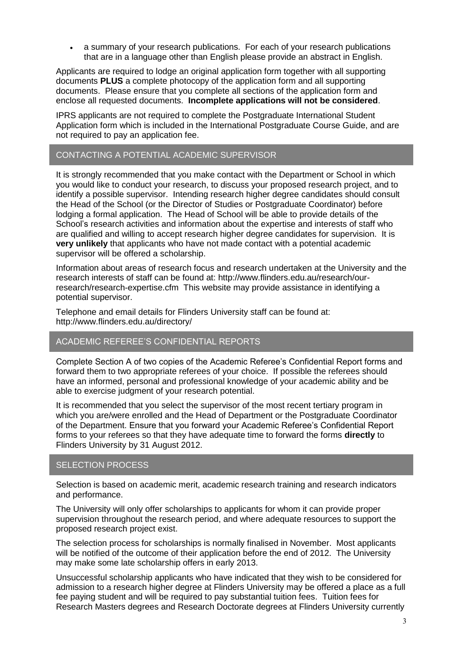a summary of your research publications. For each of your research publications that are in a language other than English please provide an abstract in English.

Applicants are required to lodge an original application form together with all supporting documents **PLUS** a complete photocopy of the application form and all supporting documents. Please ensure that you complete all sections of the application form and enclose all requested documents. **Incomplete applications will not be considered**.

IPRS applicants are not required to complete the Postgraduate International Student Application form which is included in the International Postgraduate Course Guide, and are not required to pay an application fee.

### CONTACTING A POTENTIAL ACADEMIC SUPERVISOR

It is strongly recommended that you make contact with the Department or School in which you would like to conduct your research, to discuss your proposed research project, and to identify a possible supervisor. Intending research higher degree candidates should consult the Head of the School (or the Director of Studies or Postgraduate Coordinator) before lodging a formal application. The Head of School will be able to provide details of the School's research activities and information about the expertise and interests of staff who are qualified and willing to accept research higher degree candidates for supervision. It is **very unlikely** that applicants who have not made contact with a potential academic supervisor will be offered a scholarship.

Information about areas of research focus and research undertaken at the University and the research interests of staff can be found at: http://www.flinders.edu.au/research/ourresearch/research-expertise.cfm This website may provide assistance in identifying a potential supervisor.

Telephone and email details for Flinders University staff can be found at: <http://www.flinders.edu.au/directory/>

### ACADEMIC REFEREE'S CONFIDENTIAL REPORTS

Complete Section A of two copies of the Academic Referee's Confidential Report forms and forward them to two appropriate referees of your choice. If possible the referees should have an informed, personal and professional knowledge of your academic ability and be able to exercise judgment of your research potential.

It is recommended that you select the supervisor of the most recent tertiary program in which you are/were enrolled and the Head of Department or the Postgraduate Coordinator of the Department. Ensure that you forward your Academic Referee's Confidential Report forms to your referees so that they have adequate time to forward the forms **directly** to Flinders University by 31 August 2012.

### SELECTION PROCESS

Selection is based on academic merit, academic research training and research indicators and performance.

The University will only offer scholarships to applicants for whom it can provide proper supervision throughout the research period, and where adequate resources to support the proposed research project exist.

The selection process for scholarships is normally finalised in November. Most applicants will be notified of the outcome of their application before the end of 2012. The University may make some late scholarship offers in early 2013.

Unsuccessful scholarship applicants who have indicated that they wish to be considered for admission to a research higher degree at Flinders University may be offered a place as a full fee paying student and will be required to pay substantial tuition fees. Tuition fees for Research Masters degrees and Research Doctorate degrees at Flinders University currently